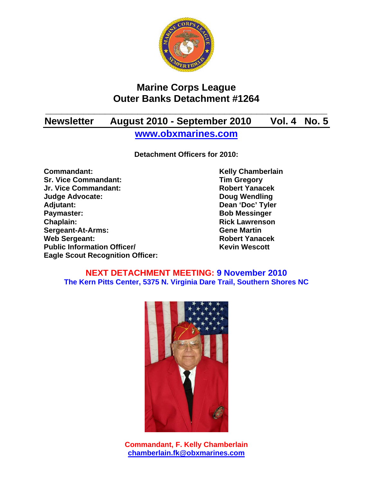

# **Marine Corps League Outer Banks Detachment #1264**

# **\_\_\_\_\_\_\_\_\_\_\_\_\_\_\_\_\_\_\_\_\_\_\_\_\_\_\_\_\_\_\_\_\_\_\_\_\_\_\_\_\_\_\_\_\_\_\_\_\_\_\_\_ Newsletter August 2010 - September 2010 Vol. 4 No. 5**

**www.obxmarines.com**

**Detachment Officers for 2010:** 

**Commandant:** Kelly Chamberlain<br>
Sr. Vice Commandant: Sr. Vice Commandant: Tim Gregory **Sr. Vice Commandant: Jr. Vice Commandant: Robert Yanacek Judge Advocate: Doug Wendling Adjutant: Dean 'Doc' Tyler Paymaster:** Bob Messinger **Chaplain: Chaplain: Rick Lawrenson Sergeant-At-Arms: Gene Martin Web Sergeant: Robert Yanacek Robert Yanacek Public Information Officer/** Kevin Wescott **Eagle Scout Recognition Officer:** 

#### **NEXT DETACHMENT MEETING: 9 November 2010 The Kern Pitts Center, 5375 N. Virginia Dare Trail, Southern Shores NC**



**Commandant, F. Kelly Chamberlain chamberlain.fk@obxmarines.com**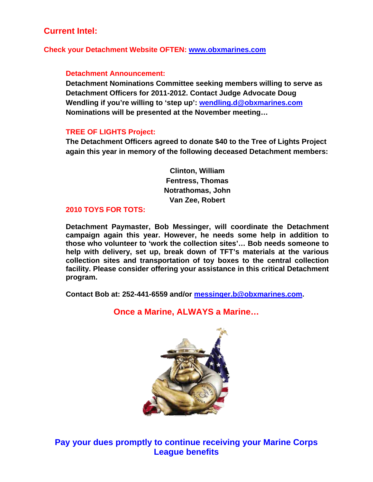## **Current Intel:**

**Check your Detachment Website OFTEN: www.obxmarines.com**

#### **Detachment Announcement:**

**Detachment Nominations Committee seeking members willing to serve as Detachment Officers for 2011-2012. Contact Judge Advocate Doug Wendling if you're willing to 'step up': wendling.d@obxmarines.com Nominations will be presented at the November meeting…** 

#### **TREE OF LIGHTS Project:**

**The Detachment Officers agreed to donate \$40 to the Tree of Lights Project again this year in memory of the following deceased Detachment members:** 

> **Clinton, William Fentress, Thomas Notrathomas, John Van Zee, Robert**

#### **2010 TOYS FOR TOTS:**

**Detachment Paymaster, Bob Messinger, will coordinate the Detachment campaign again this year. However, he needs some help in addition to those who volunteer to 'work the collection sites'… Bob needs someone to help with delivery, set up, break down of TFT's materials at the various collection sites and transportation of toy boxes to the central collection facility. Please consider offering your assistance in this critical Detachment program.** 

**Contact Bob at: 252-441-6559 and/or messinger.b@obxmarines.com.**

**Once a Marine, ALWAYS a Marine…** 

**Pay your dues promptly to continue receiving your Marine Corps League benefits**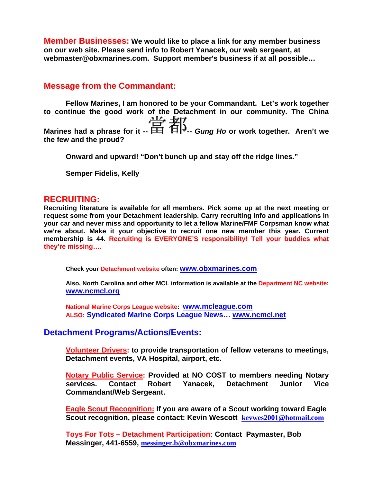**Member Businesses: We would like to place a link for any member business on our web site. Please send info to Robert Yanacek, our web sergeant, at webmaster@obxmarines.com. Support member's business if at all possible…** 

### **Message from the Commandant:**

**Fellow Marines, I am honored to be your Commandant. Let's work together to continue the good work of the Detachment in our community. The China**  Marines had a phrase for it --  $\frac{11}{11}$  **FIC**<br>Marines had a phrase for it --  $\frac{11}{11}$  **Gung Ho** or work together. Aren't we **the few and the proud?** 

**Onward and upward! "Don't bunch up and stay off the ridge lines."** 

**Semper Fidelis, Kelly** 

#### **RECRUITING:**

**Recruiting literature is available for all members. Pick some up at the next meeting or request some from your Detachment leadership. Carry recruiting info and applications in your car and never miss and opportunity to let a fellow Marine/FMF Corpsman know what we're about. Make it your objective to recruit one new member this year. Current membership is 44. Recruiting is EVERYONE'S responsibility! Tell your buddies what they're missing….** 

**Check your Detachment website often: www.obxmarines.com**

**Also, North Carolina and other MCL information is available at the Department NC website: www.ncmcl.org** 

**National Marine Corps League website: www.mcleague.com ALSO: Syndicated Marine Corps League News… www.ncmcl.net** 

### **Detachment Programs/Actions/Events:**

**Volunteer Drivers: to provide transportation of fellow veterans to meetings, Detachment events, VA Hospital, airport, etc.** 

**Notary Public Service: Provided at NO COST to members needing Notary services. Contact Robert Yanacek, Detachment Junior Vice Commandant/Web Sergeant.** 

**Eagle Scout Recognition: If you are aware of a Scout working toward Eagle Scout recognition, please contact: Kevin Wescott kevwes2001@hotmail.com**

**Toys For Tots – Detachment Participation: Contact Paymaster, Bob Messinger, 441-6559, messinger.b@obxmarines.com**